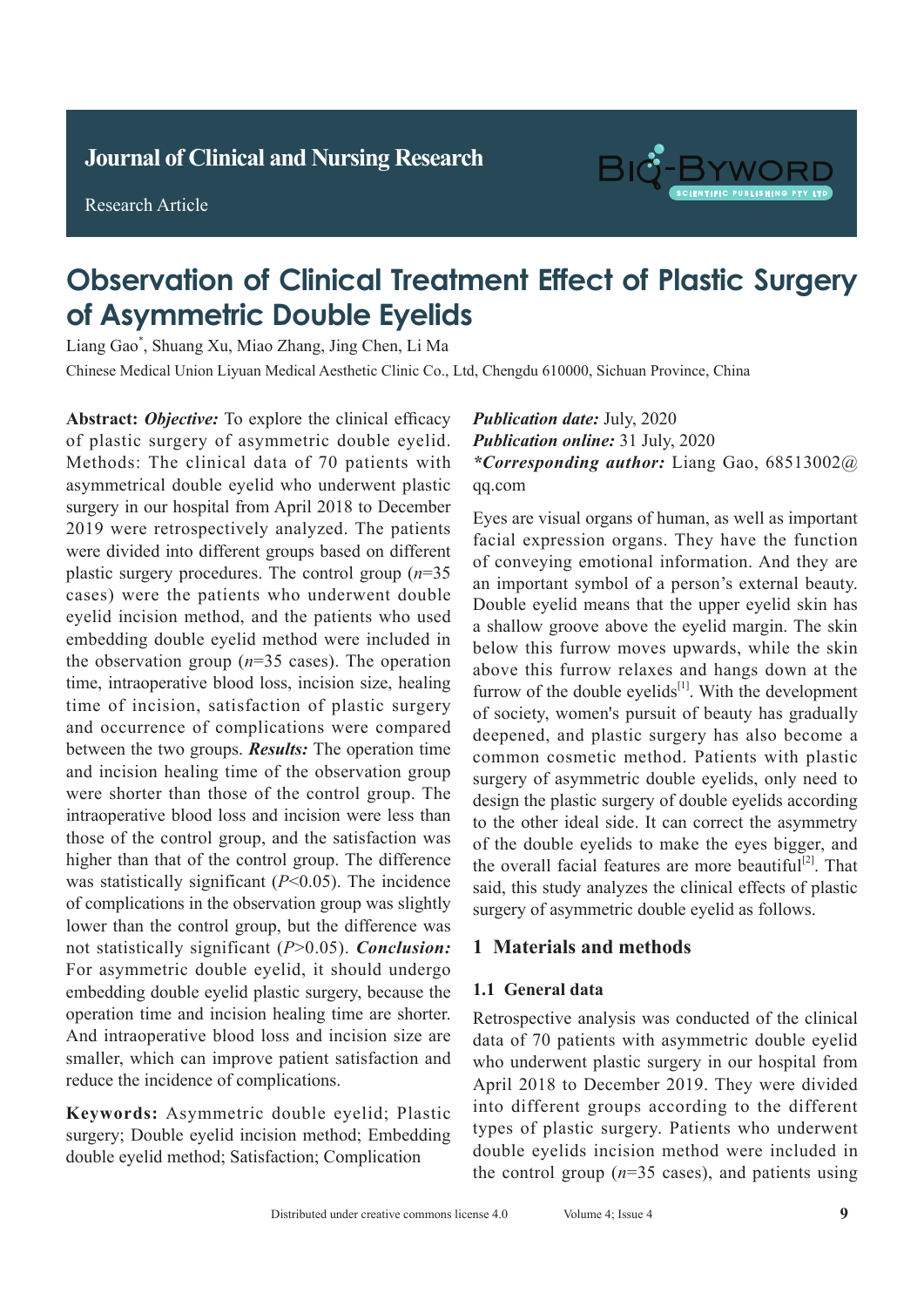Research Article



# **Observation of Clinical Treatment Effect of Plastic Surgery** of Asymmetric Double Eyelids

Liang Gao\*, Shuang Xu, Miao Zhang, Jing Chen, Li Ma

Chinese Medical Union Liyuan Medical Aesthetic Clinic Co., Ltd, Chengdu 610000, Sichuan Province, China

Abstract: Objective: To explore the clinical efficacy of plastic surgery of asymmetric double eyelid. Methods: The clinical data of 70 patients with asymmetrical double eyelid who underwent plastic surgery in our hospital from April 2018 to December 2019 were retrospectively analyzed. The patients were divided into different groups based on different plastic surgery procedures. The control group  $(n=35)$ cases) were the patients who underwent double eyelid incision method, and the patients who used embedding double eyelid method were included in the observation group  $(n=35 \text{ cases})$ . The operation time, intraoperative blood loss, incision size, healing time of incision, satisfaction of plastic surgery and occurrence of complications were compared between the two groups. *Results:* The operation time and incision healing time of the observation group were shorter than those of the control group. The intraoperative blood loss and incision were less than those of the control group, and the satisfaction was higher than that of the control group. The difference magnet man chemical chemical group. The incidence was statistically significant (*P*<0.05). The incidence The difference of complications in the observation group was slightly lower than the control group, but the difference was not statistically significant (*P*>0.05). *Conclusion:* For asymmetric double eyelid, it should undergo embedding double eyelid plastic surgery, because the operation time and incision healing time are shorter. And intraoperative blood loss and incision size are smaller, which can improve patient satisfaction and reduce the incidence of complications.

Keywords: Asymmetric double eyelid; Plastic surgery; Double eyelid incision method; Embedding double eyelid method; Satisfaction; Complication

**Publication date:** July, 2020 **Publication online: 31 July, 2020** *\*Corresponding author: Liang Gao, 68513002@* qq.com  $\frac{1}{\sqrt{2}}$  stages, or show symptoms symptoms such as coupling  $\frac{1}{\sqrt{2}}$  such as coupling  $\frac{1}{\sqrt{2}}$ 

Eyes are visual organs of human, as well as important facial expression organs. They have the function of conveying emotional information. And they are an important symbol of a person's external beauty. Double eyelid means that the upper eyelid skin has a shallow groove above the eyelid margin. The skin below this furrow moves upwards, while the skin above this furrow relaxes and hangs down at the  $\frac{1}{2}$ furrow of the double eyelids<sup>[1]</sup>. With the development of society, women's pursuit of beauty has gradually deepened, and plastic surgery has also become a common cosmetic method. Patients with plastic surgery of asymmetric double eyelids, only need to design the plastic surgery of double eyelids according to the other ideal side. It can correct the asymmetry of the double eyelids to make the eyes bigger, and the overall facial features are more beautiful<sup>[2]</sup>. That said, this study analyzes the clinical effects of plastic surgery of asymmetric double eyelid as follows.

#### 1 Motorials and mothods 1 Materials and methods

## **1 Information and methods 1.1 General data**

data of 70 patients with asymmetric double eyelid who underwent plastic surgery in our hospital from April 2018 to December 2019. They were divided in the stream into different groups according to the different types of plastic surgery. Patients who underwent double eyelids incision method were included in the control group ( $n=35$  cases), and patients using Retrospective analysis was conducted of the clinical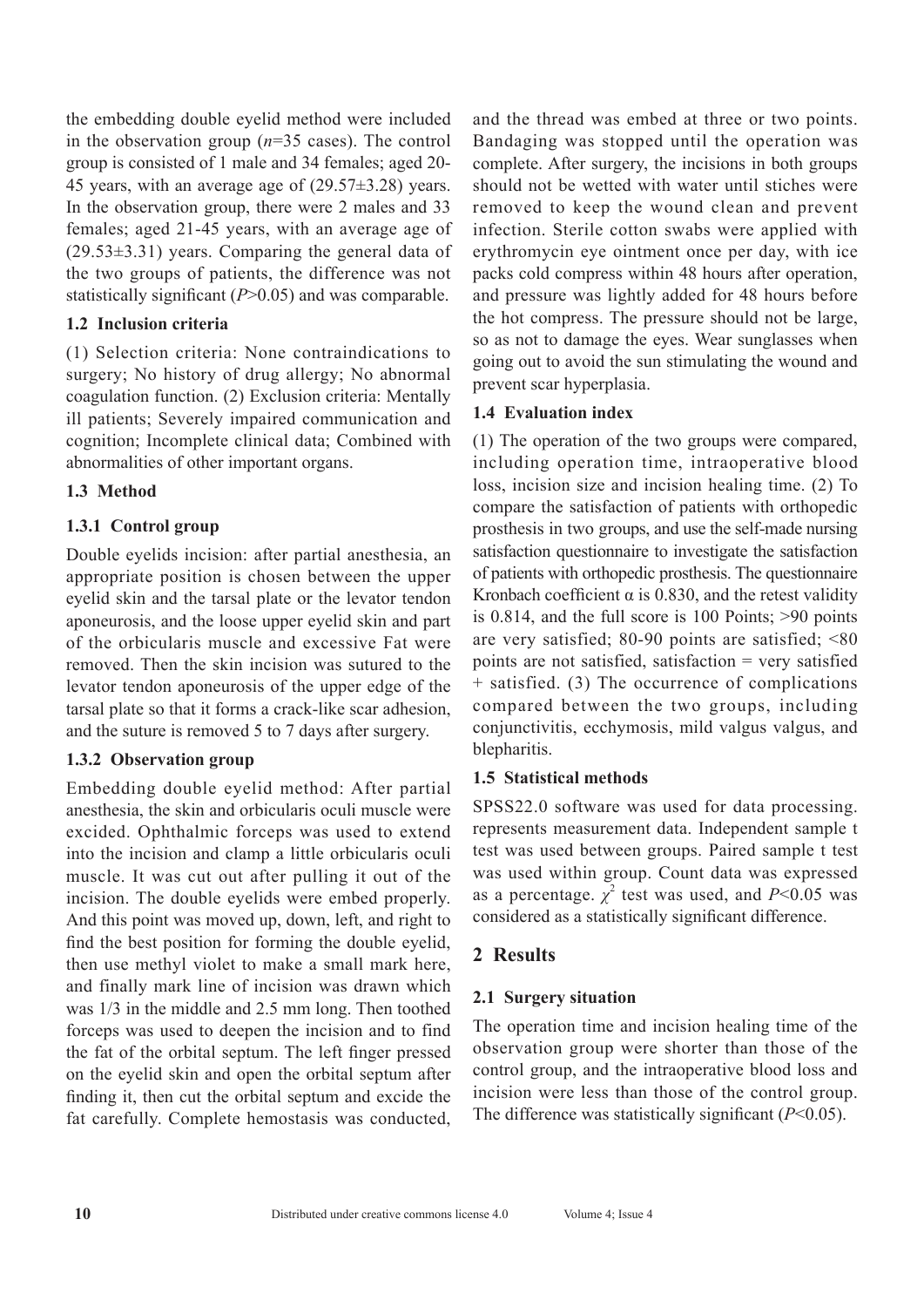the embedding double eyelid method were included in the observation group (*n*=35 cases). The control group is consisted of 1 male and 34 females; aged 20- 45 years, with an average age of (29.57±3.28) years. In the observation group, there were 2 males and 33 females; aged 21-45 years, with an average age of (29.53±3.31) years. Comparing the general data of the two groups of patients, the difference was not statistically significant (*P*>0.05) and was comparable.

#### **1.2 Inclusion criteria**

(1) Selection criteria: None contraindications to surgery; No history of drug allergy; No abnormal coagulation function. (2) Exclusion criteria: Mentally ill patients; Severely impaired communication and cognition; Incomplete clinical data; Combined with abnormalities of other important organs.

#### **1.3 Method**

#### **1.3.1 Control group**

Double eyelids incision: after partial anesthesia, an appropriate position is chosen between the upper eyelid skin and the tarsal plate or the levator tendon aponeurosis, and the loose upper eyelid skin and part of the orbicularis muscle and excessive Fat were removed. Then the skin incision was sutured to the levator tendon aponeurosis of the upper edge of the tarsal plate so that it forms a crack-like scar adhesion, and the suture is removed 5 to 7 days after surgery.

#### **1.3.2 Observation group**

Embedding double eyelid method: After partial anesthesia, the skin and orbicularis oculi muscle were excided. Ophthalmic forceps was used to extend into the incision and clamp a little orbicularis oculi muscle. It was cut out after pulling it out of the incision. The double eyelids were embed properly. And this point was moved up, down, left, and right to find the best position for forming the double eyelid, then use methyl violet to make a small mark here, and finally mark line of incision was drawn which was 1/3 in the middle and 2.5 mm long. Then toothed forceps was used to deepen the incision and to find the fat of the orbital septum. The left finger pressed on the eyelid skin and open the orbital septum after finding it, then cut the orbital septum and excide the fat carefully. Complete hemostasis was conducted, and the thread was embed at three or two points. Bandaging was stopped until the operation was complete. After surgery, the incisions in both groups should not be wetted with water until stiches were removed to keep the wound clean and prevent infection. Sterile cotton swabs were applied with erythromycin eye ointment once per day, with ice packs cold compress within 48 hours after operation, and pressure was lightly added for 48 hours before the hot compress. The pressure should not be large, so as not to damage the eyes. Wear sunglasses when going out to avoid the sun stimulating the wound and prevent scar hyperplasia.

#### **1.4 Evaluation index**

(1) The operation of the two groups were compared, including operation time, intraoperative blood loss, incision size and incision healing time. (2) To compare the satisfaction of patients with orthopedic prosthesis in two groups, and use the self-made nursing satisfaction questionnaire to investigate the satisfaction of patients with orthopedic prosthesis. The questionnaire Kronbach coefficient  $\alpha$  is 0.830, and the retest validity is 0.814, and the full score is 100 Points; >90 points are very satisfied; 80-90 points are satisfied; <80 points are not satisfied, satisfaction  $=$  very satisfied + satisfied. (3) The occurrence of complications compared between the two groups, including conjunctivitis, ecchymosis, mild valgus valgus, and blepharitis.

#### **1.5 Statistical methods**

SPSS22.0 software was used for data processing. represents measurement data. Independent sample t test was used between groups. Paired sample t test was used within group. Count data was expressed as a percentage.  $\chi^2$  test was used, and *P*<0.05 was considered as a statistically significant difference.

### **2 Results**

#### **2.1 Surgery situation**

The operation time and incision healing time of the observation group were shorter than those of the control group, and the intraoperative blood loss and incision were less than those of the control group. The difference was statistically significant (*P*<0.05).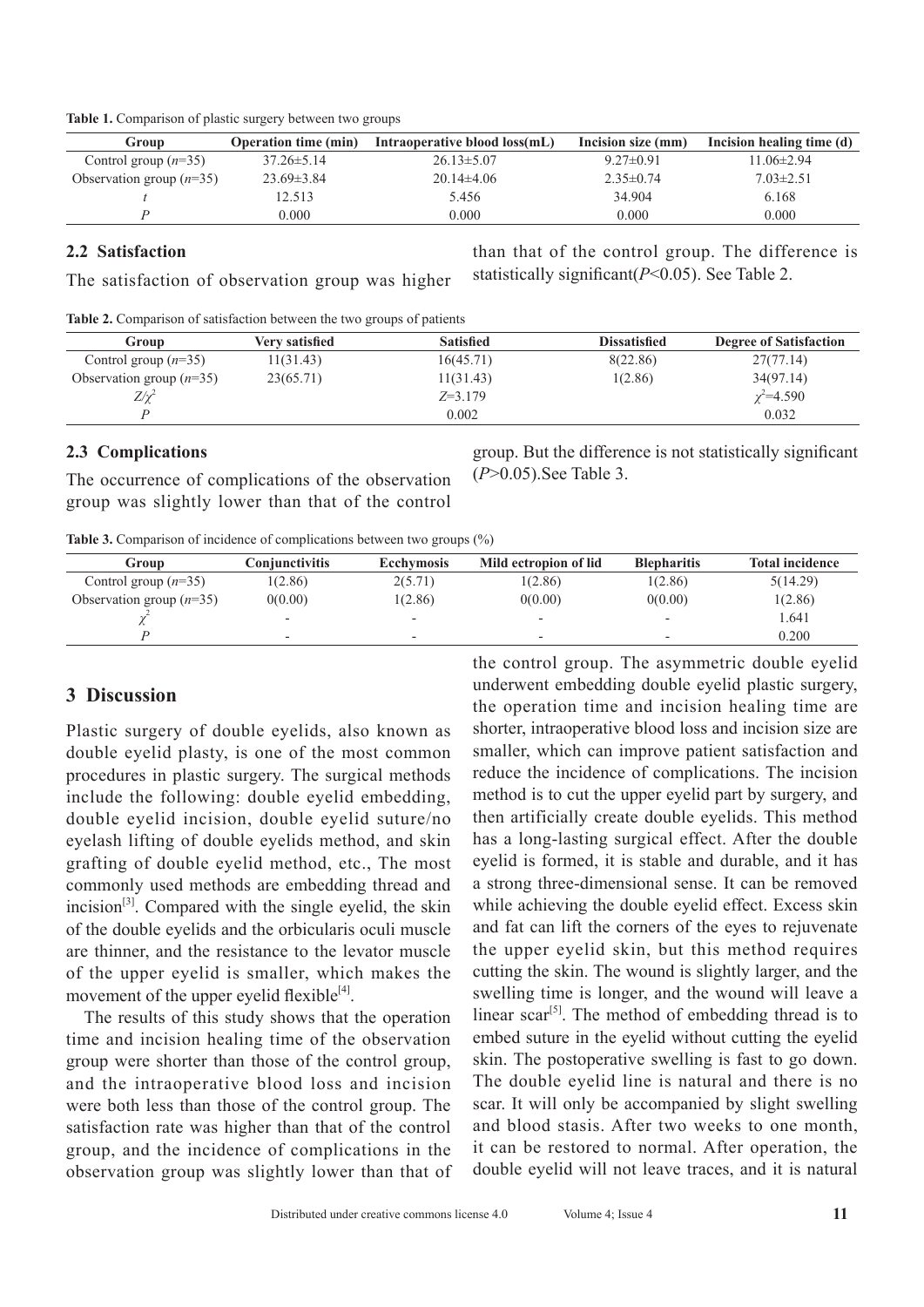| Table 1. Comparison of plastic surgery between two groups |  |
|-----------------------------------------------------------|--|
|-----------------------------------------------------------|--|

| Group                      | <b>Operation time (min)</b> | Intraoperative blood loss(mL) | Incision size (mm) | Incision healing time (d) |
|----------------------------|-----------------------------|-------------------------------|--------------------|---------------------------|
| Control group $(n=35)$     | $37.26 \pm 5.14$            | $26.13 \pm 5.07$              | $9.27\pm0.91$      | $11.06 \pm 2.94$          |
| Observation group $(n=35)$ | $23.69 \pm 3.84$            | $20.14\pm4.06$                | $2.35\pm 0.74$     | $7.03 \pm 2.51$           |
|                            | 12.513                      | 5.456                         | 34.904             | 6.168                     |
|                            | 0.000                       | 0.000                         | 0.000              | 0.000                     |

#### **2.2 Satisfaction**

The satisfaction of observation group was higher

**Table 2.** Comparison of satisfaction between the two groups of patients

| Group                      | Verv satisfied | <b>Satisfied</b> | <b>Dissatisfied</b> | <b>Degree of Satisfaction</b> |
|----------------------------|----------------|------------------|---------------------|-------------------------------|
| Control group $(n=35)$     | 11(31.43)      | 16(45.71)        | 8(22.86)            | 27(77.14)                     |
| Observation group $(n=35)$ | 23(65.71)      | 11(31.43)        | 1(2.86)             | 34(97.14)                     |
| $Z/\chi^2$                 |                | $Z=3.179$        |                     | $\chi^2 = 4.590$              |
|                            |                | 0.002            |                     | 0.032                         |

#### **2.3 Complications**

The occurrence of complications of the observation group was slightly lower than that of the control group. But the difference is not statistically significant (*P*>0.05).See Table 3.

than that of the control group. The difference is

statistically significant(*P*<0.05). See Table 2.

| <b>Table 3.</b> Comparison of incidence of complications between two groups $(\%)$ |  |  |  |  |
|------------------------------------------------------------------------------------|--|--|--|--|
|------------------------------------------------------------------------------------|--|--|--|--|

| Group                      | Conjunctivitis           | <b>Ecchymosis</b> | Mild ectropion of lid    | <b>Blepharitis</b>       | <b>Total incidence</b> |
|----------------------------|--------------------------|-------------------|--------------------------|--------------------------|------------------------|
| Control group $(n=35)$     | 1(2.86)                  | 2(5.71)           | 1(2.86)                  | 1(2.86)                  | 5(14.29)               |
| Observation group $(n=35)$ | 0(0.00)                  | 1(2.86)           | 0(0.00)                  | 0(0.00)                  | 1(2.86)                |
|                            | $\overline{\phantom{a}}$ |                   |                          |                          | 1.641                  |
|                            | $\overline{\phantom{0}}$ |                   | $\overline{\phantom{0}}$ | $\overline{\phantom{0}}$ | 0.200                  |

#### **3 Discussion**

Plastic surgery of double eyelids, also known as double eyelid plasty, is one of the most common procedures in plastic surgery. The surgical methods include the following: double eyelid embedding, double eyelid incision, double eyelid suture/no eyelash lifting of double eyelids method, and skin grafting of double eyelid method, etc., The most commonly used methods are embedding thread and incision<sup>[3]</sup>. Compared with the single eyelid, the skin of the double eyelids and the orbicularis oculi muscle are thinner, and the resistance to the levator muscle of the upper eyelid is smaller, which makes the movement of the upper eyelid flexible $[4]$ .

The results of this study shows that the operation time and incision healing time of the observation group were shorter than those of the control group, and the intraoperative blood loss and incision were both less than those of the control group. The satisfaction rate was higher than that of the control group, and the incidence of complications in the observation group was slightly lower than that of the control group. The asymmetric double eyelid underwent embedding double eyelid plastic surgery, the operation time and incision healing time are shorter, intraoperative blood loss and incision size are smaller, which can improve patient satisfaction and reduce the incidence of complications. The incision method is to cut the upper eyelid part by surgery, and then artificially create double eyelids. This method has a long-lasting surgical effect. After the double eyelid is formed, it is stable and durable, and it has a strong three-dimensional sense. It can be removed while achieving the double eyelid effect. Excess skin and fat can lift the corners of the eyes to rejuvenate the upper eyelid skin, but this method requires cutting the skin. The wound is slightly larger, and the swelling time is longer, and the wound will leave a linear scar<sup>[5]</sup>. The method of embedding thread is to embed suture in the eyelid without cutting the eyelid skin. The postoperative swelling is fast to go down. The double eyelid line is natural and there is no scar. It will only be accompanied by slight swelling and blood stasis. After two weeks to one month, it can be restored to normal. After operation, the double eyelid will not leave traces, and it is natural